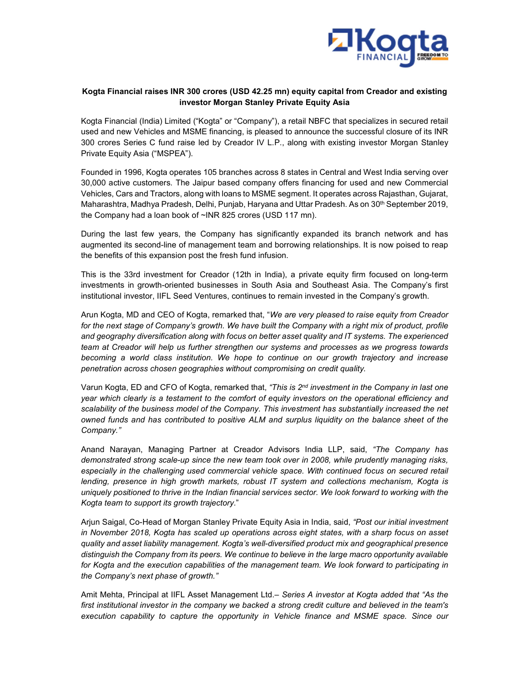

# Kogta Financial raises INR 300 crores (USD 42.25 mn) equity capital from Creador and existing investor Morgan Stanley Private Equity Asia

Kogta Financial (India) Limited ("Kogta" or "Company"), a retail NBFC that specializes in secured retail used and new Vehicles and MSME financing, is pleased to announce the successful closure of its INR 300 crores Series C fund raise led by Creador IV L.P., along with existing investor Morgan Stanley Private Equity Asia ("MSPEA").

Founded in 1996, Kogta operates 105 branches across 8 states in Central and West India serving over 30,000 active customers. The Jaipur based company offers financing for used and new Commercial Vehicles, Cars and Tractors, along with loans to MSME segment. It operates across Rajasthan, Gujarat, Maharashtra, Madhya Pradesh, Delhi, Punjab, Haryana and Uttar Pradesh. As on 30<sup>th</sup> September 2019, the Company had a loan book of ~INR 825 crores (USD 117 mn).

During the last few years, the Company has significantly expanded its branch network and has augmented its second-line of management team and borrowing relationships. It is now poised to reap the benefits of this expansion post the fresh fund infusion.

This is the 33rd investment for Creador (12th in India), a private equity firm focused on long-term investments in growth-oriented businesses in South Asia and Southeast Asia. The Company's first institutional investor, IIFL Seed Ventures, continues to remain invested in the Company's growth.

Arun Kogta, MD and CEO of Kogta, remarked that, "We are very pleased to raise equity from Creador for the next stage of Company's growth. We have built the Company with a right mix of product, profile and geography diversification along with focus on better asset quality and IT systems. The experienced team at Creador will help us further strengthen our systems and processes as we progress towards becoming a world class institution. We hope to continue on our growth trajectory and increase penetration across chosen geographies without compromising on credit quality.

Varun Kogta, ED and CFO of Kogta, remarked that, "This is 2<sup>nd</sup> investment in the Company in last one year which clearly is a testament to the comfort of equity investors on the operational efficiency and scalability of the business model of the Company. This investment has substantially increased the net owned funds and has contributed to positive ALM and surplus liquidity on the balance sheet of the Company."

Anand Narayan, Managing Partner at Creador Advisors India LLP, said, "The Company has demonstrated strong scale-up since the new team took over in 2008, while prudently managing risks, especially in the challenging used commercial vehicle space. With continued focus on secured retail lending, presence in high growth markets, robust IT system and collections mechanism, Kogta is uniquely positioned to thrive in the Indian financial services sector. We look forward to working with the Kogta team to support its growth trajectory."

Arjun Saigal, Co-Head of Morgan Stanley Private Equity Asia in India, said, "Post our initial investment in November 2018, Kogta has scaled up operations across eight states, with a sharp focus on asset quality and asset liability management. Kogta's well-diversified product mix and geographical presence distinguish the Company from its peers. We continue to believe in the large macro opportunity available for Kogta and the execution capabilities of the management team. We look forward to participating in the Company's next phase of growth."

Amit Mehta, Principal at IIFL Asset Management Ltd. – Series A investor at Kogta added that "As the first institutional investor in the company we backed a strong credit culture and believed in the team's execution capability to capture the opportunity in Vehicle finance and MSME space. Since our